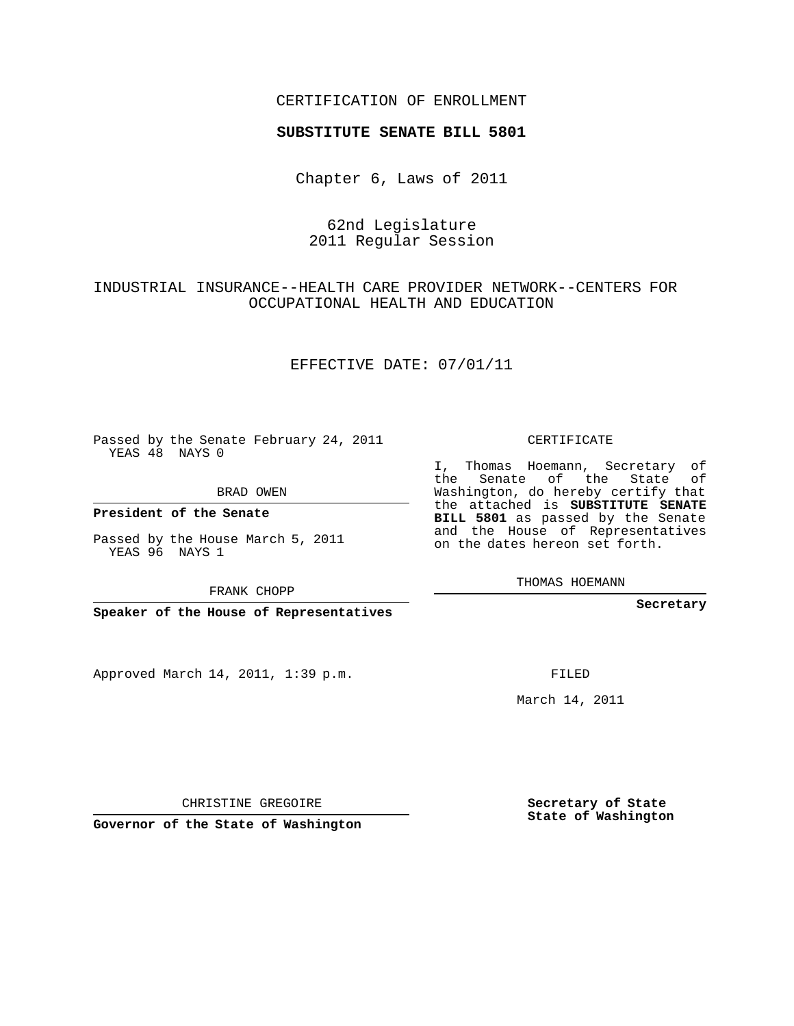#### CERTIFICATION OF ENROLLMENT

#### **SUBSTITUTE SENATE BILL 5801**

Chapter 6, Laws of 2011

## 62nd Legislature 2011 Regular Session

## INDUSTRIAL INSURANCE--HEALTH CARE PROVIDER NETWORK--CENTERS FOR OCCUPATIONAL HEALTH AND EDUCATION

#### EFFECTIVE DATE: 07/01/11

Passed by the Senate February 24, 2011 YEAS 48 NAYS 0

**President of the Senate**

Passed by the House March 5, 2011 YEAS 96 NAYS 1

FRANK CHOPP

**Speaker of the House of Representatives**

Approved March 14, 2011, 1:39 p.m.

CERTIFICATE

I, Thomas Hoemann, Secretary of the Senate of the State of Washington, do hereby certify that the attached is **SUBSTITUTE SENATE BILL 5801** as passed by the Senate and the House of Representatives on the dates hereon set forth.

THOMAS HOEMANN

**Secretary**

FILED

March 14, 2011

**Secretary of State State of Washington**

CHRISTINE GREGOIRE

**Governor of the State of Washington**

BRAD OWEN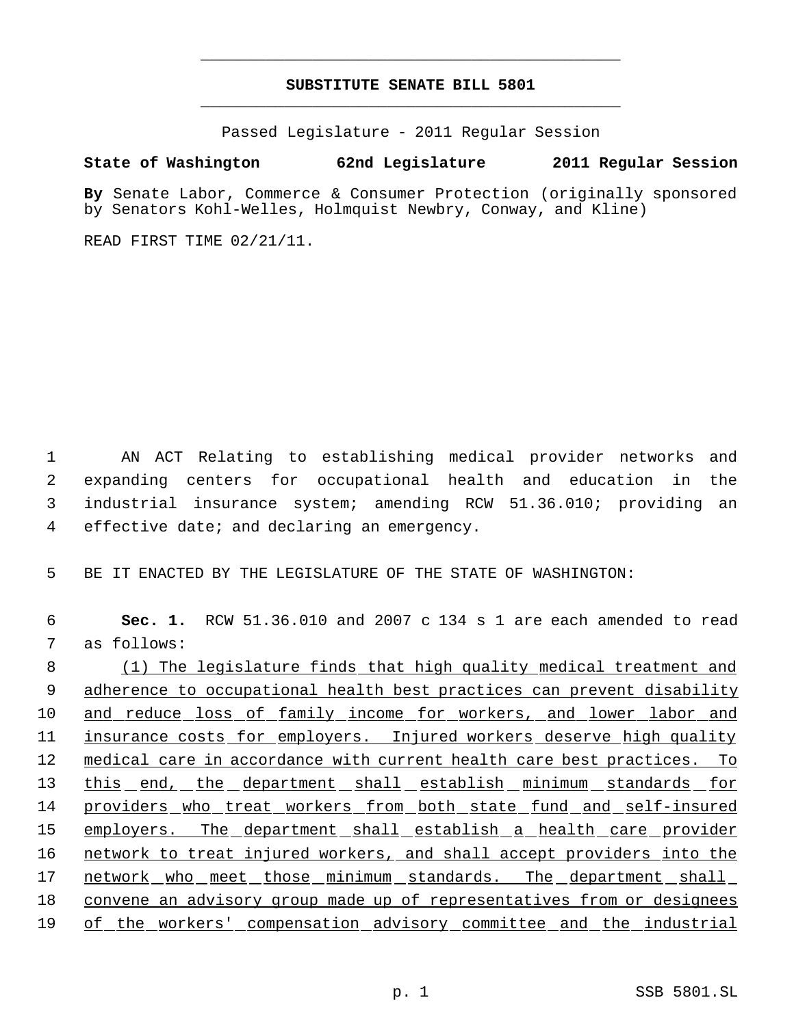# **SUBSTITUTE SENATE BILL 5801** \_\_\_\_\_\_\_\_\_\_\_\_\_\_\_\_\_\_\_\_\_\_\_\_\_\_\_\_\_\_\_\_\_\_\_\_\_\_\_\_\_\_\_\_\_

\_\_\_\_\_\_\_\_\_\_\_\_\_\_\_\_\_\_\_\_\_\_\_\_\_\_\_\_\_\_\_\_\_\_\_\_\_\_\_\_\_\_\_\_\_

Passed Legislature - 2011 Regular Session

### **State of Washington 62nd Legislature 2011 Regular Session**

**By** Senate Labor, Commerce & Consumer Protection (originally sponsored by Senators Kohl-Welles, Holmquist Newbry, Conway, and Kline)

READ FIRST TIME 02/21/11.

 AN ACT Relating to establishing medical provider networks and expanding centers for occupational health and education in the industrial insurance system; amending RCW 51.36.010; providing an effective date; and declaring an emergency.

5 BE IT ENACTED BY THE LEGISLATURE OF THE STATE OF WASHINGTON:

 6 **Sec. 1.** RCW 51.36.010 and 2007 c 134 s 1 are each amended to read 7 as follows:

 8 (1) The legislature finds that high quality medical treatment and 9 adherence to occupational health best practices can prevent disability 10 and reduce loss of family income for workers, and lower labor and 11 insurance costs for employers. Injured workers deserve high quality 12 medical care in accordance with current health care best practices. To 13 this end, the department shall establish minimum standards for 14 providers who treat workers from both state fund and self-insured 15 employers. The department shall establish a health care provider 16 network to treat injured workers, and shall accept providers into the 17 network who meet those minimum standards. The department shall 18 convene an advisory group made up of representatives from or designees 19 of the workers' compensation advisory committee and the industrial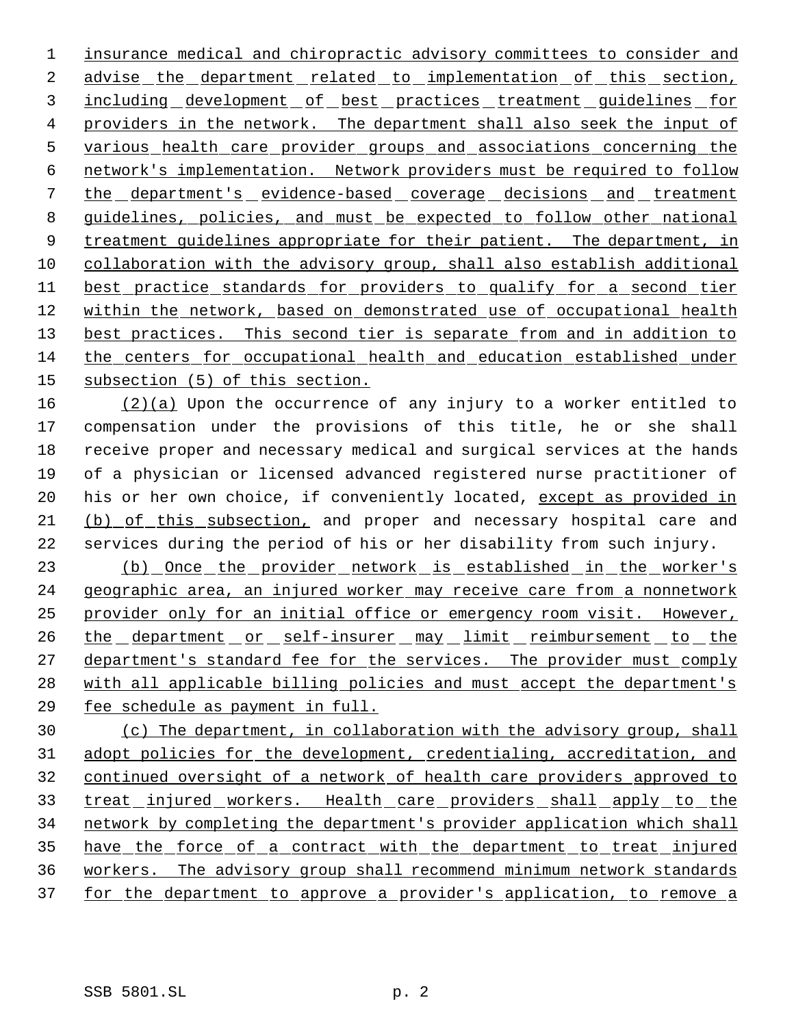insurance medical and chiropractic advisory committees to consider and 2 advise the department related to implementation of this section, 3 including development of best practices treatment guidelines for providers in the network. The department shall also seek the input of various health care provider groups and associations concerning the network's implementation. Network providers must be required to follow the department's evidence-based coverage decisions and treatment guidelines, policies, and must be expected to follow other national 9 treatment guidelines appropriate for their patient. The department, in collaboration with the advisory group, shall also establish additional best practice standards for providers to qualify for a second tier within the network, based on demonstrated use of occupational health 13 best practices. This second tier is separate from and in addition to the centers for occupational health and education established under subsection (5) of this section.

 $(2)(a)$  Upon the occurrence of any injury to a worker entitled to compensation under the provisions of this title, he or she shall receive proper and necessary medical and surgical services at the hands of a physician or licensed advanced registered nurse practitioner of 20 his or her own choice, if conveniently located, except as provided in (b) of this subsection, and proper and necessary hospital care and services during the period of his or her disability from such injury.

23 (b) Once the provider network is established in the worker's 24 geographic area, an injured worker may receive care from a nonnetwork provider only for an initial office or emergency room visit. However, 26 the department or self-insurer may limit reimbursement to the 27 department's standard fee for the services. The provider must comply 28 with all applicable billing policies and must accept the department's fee schedule as payment in full.

 (c) The department, in collaboration with the advisory group, shall adopt policies for the development, credentialing, accreditation, and continued oversight of a network of health care providers approved to 33 treat injured workers. Health care providers shall apply to the network by completing the department's provider application which shall 35 have the force of a contract with the department to treat injured workers. The advisory group shall recommend minimum network standards 37 for the department to approve a provider's application, to remove a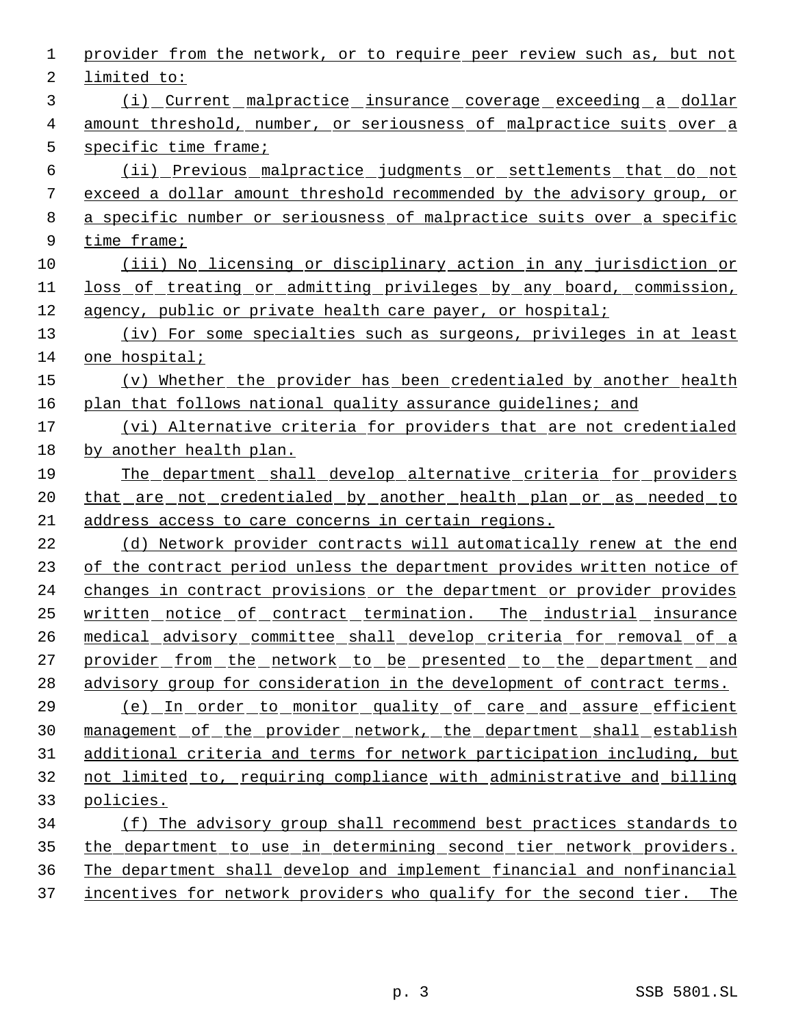| 1  | provider from the network, or to require peer review such as, but not     |
|----|---------------------------------------------------------------------------|
| 2  | limited to:                                                               |
| 3  | <u>(i) Current malpractice insurance coverage exceeding a dollar</u>      |
| 4  | amount threshold, number, or seriousness of malpractice suits over a      |
| 5  | specific time frame;                                                      |
| 6  | (ii) Previous malpractice judgments or settlements that do not            |
| 7  | exceed a dollar amount threshold recommended by the advisory group, or    |
| 8  | a specific number or seriousness of malpractice suits over a specific     |
| 9  | time frame;                                                               |
| 10 | (iii) No licensing or disciplinary action in any jurisdiction or          |
| 11 | <u>loss of treating or admitting privileges by any board, commission,</u> |
| 12 | agency, public or private health care payer, or hospital;                 |
| 13 | (iv) For some specialties such as surgeons, privileges in at least        |
| 14 | one hospital;                                                             |
| 15 | (v) Whether the provider has been credentialed by another health          |
| 16 | plan that follows national quality assurance quidelines; and              |
| 17 | (vi) Alternative criteria for providers that are not credentialed         |
| 18 | by another health plan.                                                   |
| 19 | The department shall develop alternative criteria for providers           |
| 20 | that are not credentialed by another health plan or as needed to          |
| 21 | address access to care concerns in certain regions.                       |
| 22 | (d) Network provider contracts will automatically renew at the end        |
| 23 | of the contract period unless the department provides written notice of   |
| 24 | changes in contract provisions or the department or provider provides     |
| 25 | written notice of contract termination. The industrial insurance          |
| 26 | medical advisory committee shall develop criteria for removal of a        |
| 27 | provider_from_the_network_to_be_presented_to_the_department_and           |
| 28 | advisory group for consideration in the development of contract terms.    |
| 29 | <u>(e) In order to monitor quality of care and assure efficient</u>       |
| 30 | management of the provider network, the department shall establish        |
| 31 | additional criteria and terms for network participation including, but    |
| 32 | not limited to, requiring compliance with administrative and billing      |
| 33 | policies.                                                                 |
| 34 | (f) The advisory group shall recommend best practices standards to        |
| 35 | the department to use in determining second tier network providers.       |
| 36 | The department shall develop and implement financial and nonfinancial     |
| 37 | incentives for network providers who qualify for the second tier. The     |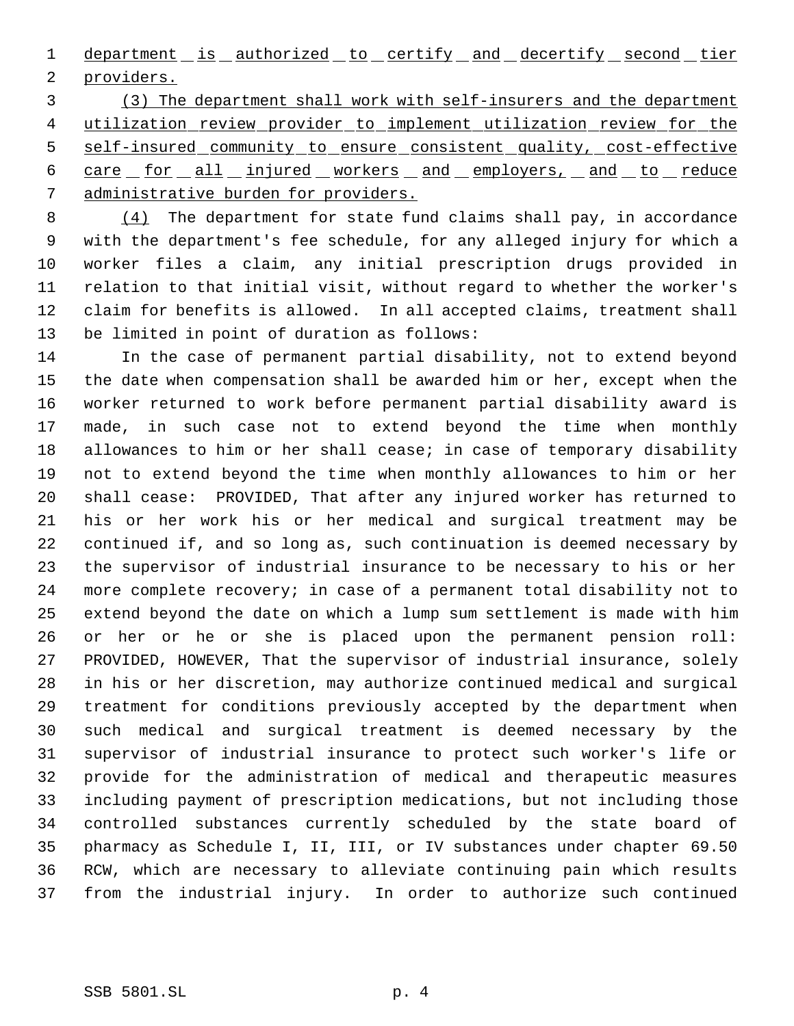1 department is authorized to certify and decertify second tier providers.

 (3) The department shall work with self-insurers and the department utilization review provider to implement utilization review for the self-insured community to ensure consistent quality, cost-effective 6 care for all injured workers and employers, and to reduce administrative burden for providers.

 (4) The department for state fund claims shall pay, in accordance with the department's fee schedule, for any alleged injury for which a worker files a claim, any initial prescription drugs provided in relation to that initial visit, without regard to whether the worker's claim for benefits is allowed. In all accepted claims, treatment shall be limited in point of duration as follows:

 In the case of permanent partial disability, not to extend beyond the date when compensation shall be awarded him or her, except when the worker returned to work before permanent partial disability award is made, in such case not to extend beyond the time when monthly 18 allowances to him or her shall cease; in case of temporary disability not to extend beyond the time when monthly allowances to him or her shall cease: PROVIDED, That after any injured worker has returned to his or her work his or her medical and surgical treatment may be continued if, and so long as, such continuation is deemed necessary by the supervisor of industrial insurance to be necessary to his or her more complete recovery; in case of a permanent total disability not to extend beyond the date on which a lump sum settlement is made with him or her or he or she is placed upon the permanent pension roll: PROVIDED, HOWEVER, That the supervisor of industrial insurance, solely in his or her discretion, may authorize continued medical and surgical treatment for conditions previously accepted by the department when such medical and surgical treatment is deemed necessary by the supervisor of industrial insurance to protect such worker's life or provide for the administration of medical and therapeutic measures including payment of prescription medications, but not including those controlled substances currently scheduled by the state board of pharmacy as Schedule I, II, III, or IV substances under chapter 69.50 RCW, which are necessary to alleviate continuing pain which results from the industrial injury. In order to authorize such continued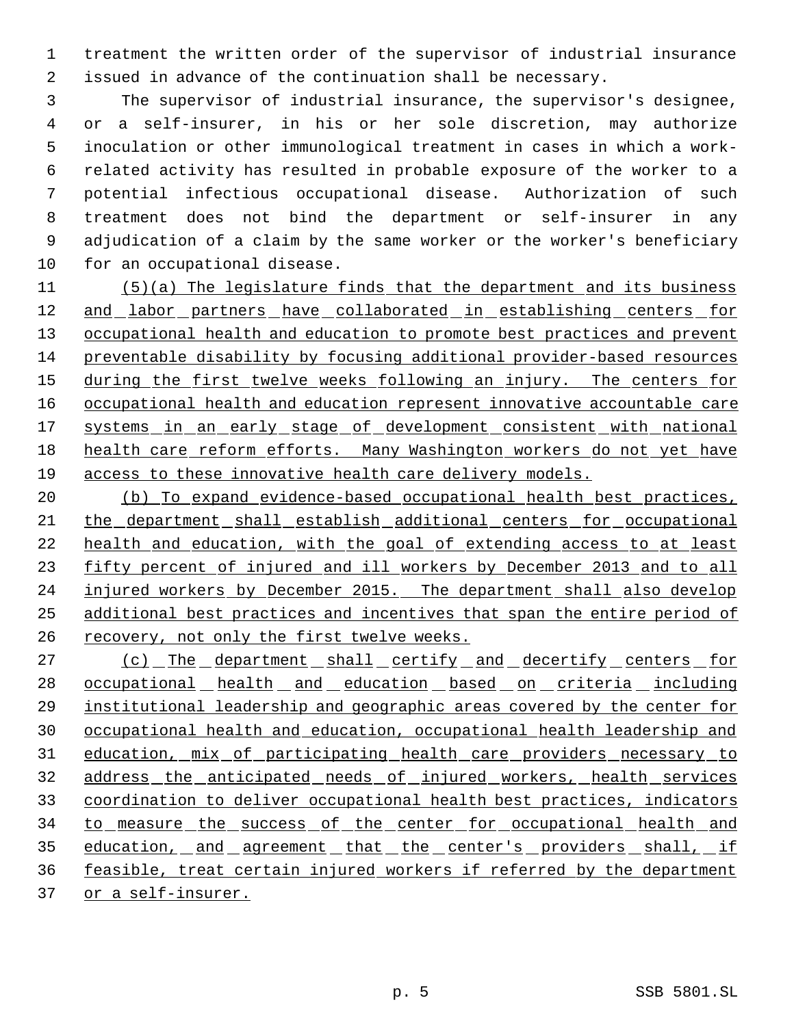treatment the written order of the supervisor of industrial insurance issued in advance of the continuation shall be necessary.

 The supervisor of industrial insurance, the supervisor's designee, or a self-insurer, in his or her sole discretion, may authorize inoculation or other immunological treatment in cases in which a work- related activity has resulted in probable exposure of the worker to a potential infectious occupational disease. Authorization of such treatment does not bind the department or self-insurer in any adjudication of a claim by the same worker or the worker's beneficiary for an occupational disease.

 (5)(a) The legislature finds that the department and its business and labor partners have collaborated in establishing centers for 13 occupational health and education to promote best practices and prevent preventable disability by focusing additional provider-based resources 15 during the first twelve weeks following an injury. The centers for occupational health and education represent innovative accountable care 17 systems in an early stage of development consistent with national health care reform efforts. Many Washington workers do not yet have access to these innovative health care delivery models.

 (b) To expand evidence-based occupational health best practices, the department shall establish additional centers for occupational health and education, with the goal of extending access to at least fifty percent of injured and ill workers by December 2013 and to all injured workers by December 2015. The department shall also develop additional best practices and incentives that span the entire period of recovery, not only the first twelve weeks.

27 (c) The department shall certify and decertify centers for 28 occupational health and education based on criteria including institutional leadership and geographic areas covered by the center for occupational health and education, occupational health leadership and 31 education, mix of participating health care providers necessary to address the anticipated needs of injured workers, health services coordination to deliver occupational health best practices, indicators 34 to measure the success of the center for occupational health and 35 education, and agreement that the center's providers shall, if feasible, treat certain injured workers if referred by the department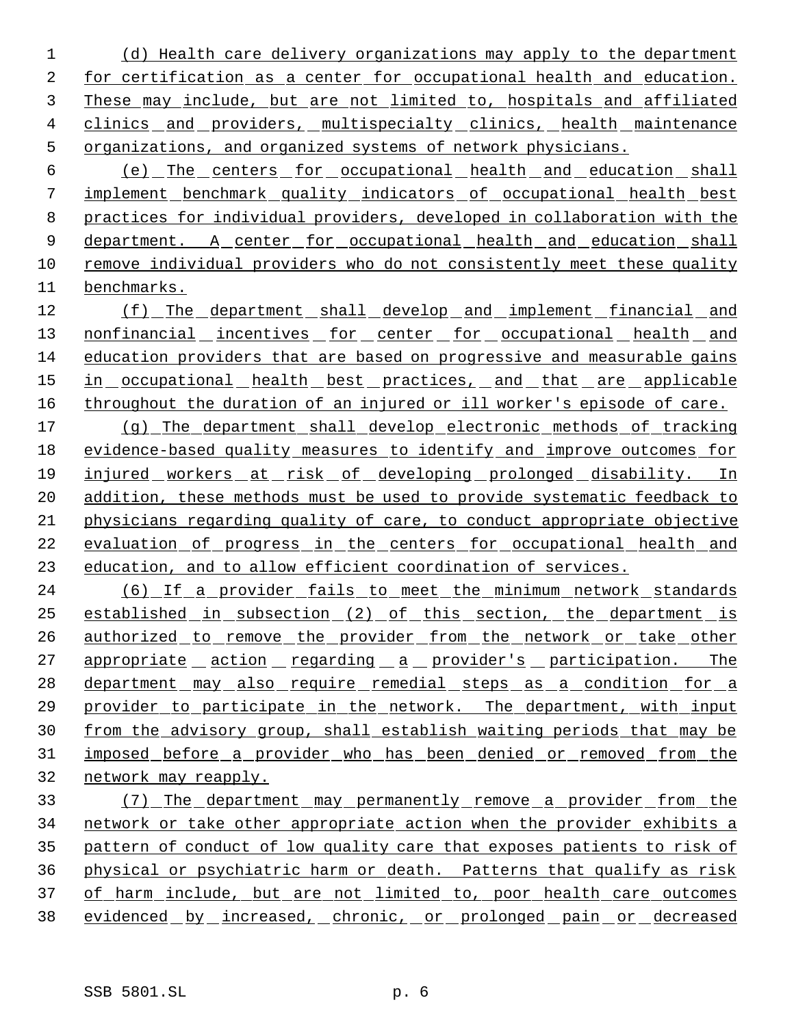(d) Health care delivery organizations may apply to the department for certification as a center for occupational health and education. These may include, but are not limited to, hospitals and affiliated 4 clinics and providers, multispecialty clinics, health maintenance organizations, and organized systems of network physicians.

 (e) The centers for occupational health and education shall implement benchmark quality indicators of occupational health best practices for individual providers, developed in collaboration with the 9 department. A center for occupational health and education shall remove individual providers who do not consistently meet these quality benchmarks.

12 (f) The department shall develop and implement financial and 13 nonfinancial incentives for center for occupational health and education providers that are based on progressive and measurable gains 15 in occupational health best practices, and that are applicable 16 throughout the duration of an injured or ill worker's episode of care.

 (g) The department shall develop electronic methods of tracking evidence-based quality measures to identify and improve outcomes for injured workers at risk of developing prolonged disability. In addition, these methods must be used to provide systematic feedback to physicians regarding quality of care, to conduct appropriate objective 22 evaluation of progress in the centers for occupational health and education, and to allow efficient coordination of services.

 (6) If a provider fails to meet the minimum network standards established in subsection (2) of this section, the department is 26 authorized to remove the provider from the network or take other 27 appropriate action regarding a provider's participation. The 28 department may also require remedial steps as a condition for a provider to participate in the network. The department, with input from the advisory group, shall establish waiting periods that may be imposed before a provider who has been denied or removed from the network may reapply.

 (7) The department may permanently remove a provider from the network or take other appropriate action when the provider exhibits a pattern of conduct of low quality care that exposes patients to risk of physical or psychiatric harm or death. Patterns that qualify as risk of harm include, but are not limited to, poor health care outcomes 38 evidenced by increased, chronic, or prolonged pain or decreased